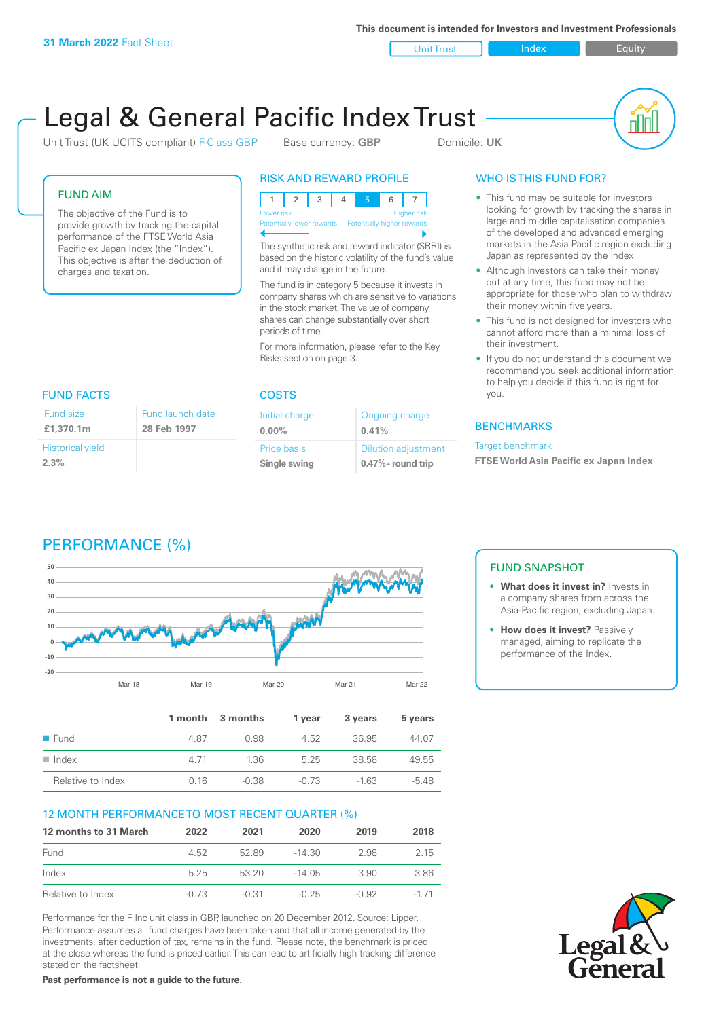**This document is intended for Investors and Investment Professionals**

Unit Trust Index I Equity

# Legal & General Pacific Index Trust

Unit Trust (UK UCITS compliant) F-Class GBP Base currency: **GBP** Domicile: UK



#### FUND AIM

The objective of the Fund is to provide growth by tracking the capital performance of the FTSE World Asia Pacific ex Japan Index (the "Index"). This objective is after the deduction of charges and taxation.

#### RISK AND REWARD PROFILE

123 4 5 6 7 Higher risk Potentially lower rewards Potentially higher rewards

The synthetic risk and reward indicator (SRRI) is based on the historic volatility of the fund's value and it may change in the future.

The fund is in category 5 because it invests in company shares which are sensitive to variations in the stock market. The value of company shares can change substantially over short periods of time.

For more information, please refer to the Key Risks section on page 3.

# FUND FACTS COSTS

| Fund size               | Fund launch date |
|-------------------------|------------------|
| £1,370.1m               | 28 Feb 1997      |
| <b>Historical yield</b> |                  |
| 2.3%                    |                  |

| Initial charge | Ongoing charge             |
|----------------|----------------------------|
| $0.00\%$       | 0.41%                      |
| Price basis    | <b>Dilution adjustment</b> |
| Single swing   | $0.47\%$ - round trip      |

### WHO IS THIS FUND FOR?

- This fund may be suitable for investors looking for growth by tracking the shares in large and middle capitalisation companies of the developed and advanced emerging markets in the Asia Pacific region excluding Japan as represented by the index.
- Although investors can take their money out at any time, this fund may not be appropriate for those who plan to withdraw their money within five years.
- This fund is not designed for investors who cannot afford more than a minimal loss of their investment.
- If you do not understand this document we recommend you seek additional information to help you decide if this fund is right for you.

#### **BENCHMARKS**

#### Target benchmark

**FTSE World Asia Pacific ex Japan Index**

# PERFORMANCE (%)



|                      |       | 1 month 3 months | 1 vear | 3 years | 5 years |
|----------------------|-------|------------------|--------|---------|---------|
| $\blacksquare$ Fund  | 487   | O 98             | 4.52   | 36.95   | 44.07   |
| $\blacksquare$ Index | 4 7 1 | 1.36             | 5 25   | 38.58   | 49.55   |
| Relative to Index    | 0.16  | $-0.38$          | -0.73  | $-163$  | $-5.48$ |

#### 12 MONTH PERFORMANCE TO MOST RECENT QUARTER (%)

| 12 months to 31 March | 2022    | 2021    | 2020    | 2019  | 2018   |
|-----------------------|---------|---------|---------|-------|--------|
| Fund                  | 4.52    | 5289    | -14.30  | 2.98  | 2.15   |
| Index                 | 525     | 53 20   | -14 05  | 3.90  | 3.86   |
| Relative to Index     | $-0.73$ | $-0.31$ | $-0.25$ | -0.92 | $-171$ |

Performance for the F Inc unit class in GBP, launched on 20 December 2012. Source: Lipper. Performance assumes all fund charges have been taken and that all income generated by the investments, after deduction of tax, remains in the fund. Please note, the benchmark is priced at the close whereas the fund is priced earlier. This can lead to artificially high tracking difference stated on the factsheet.

**Past performance is not a guide to the future.**

### FUND SNAPSHOT

- **• What does it invest in?** Invests in a company shares from across the Asia-Pacific region, excluding Japan.
- **• How does it invest?** Passively managed, aiming to replicate the performance of the Index.

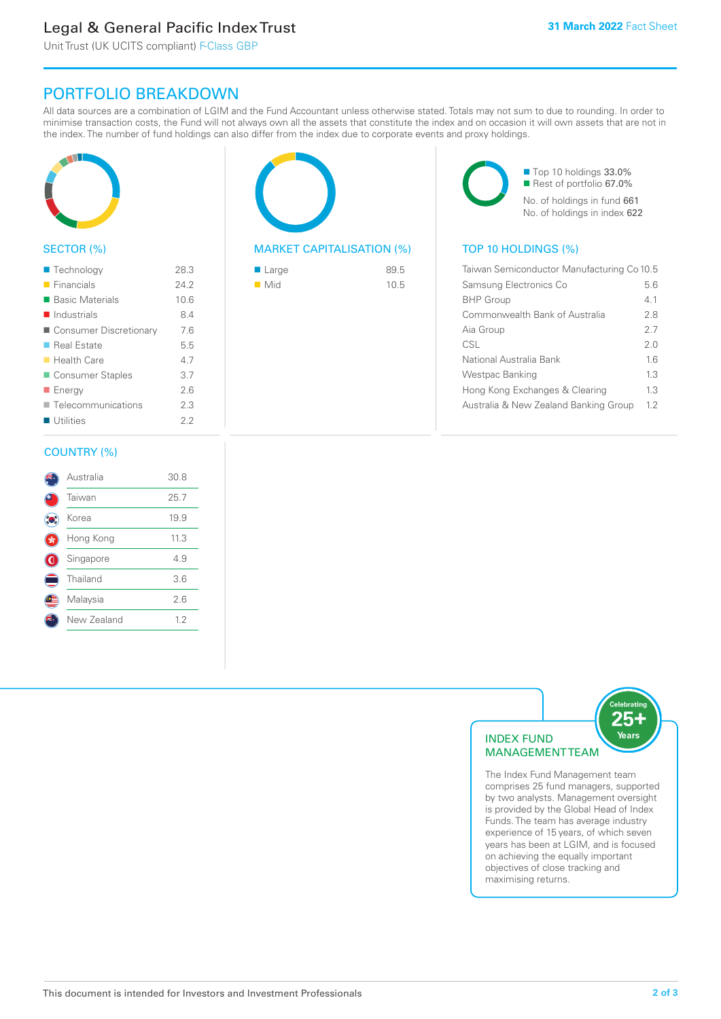# Legal & General Pacific Index Trust

Unit Trust (UK UCITS compliant) F-Class GBP

## PORTFOLIO BREAKDOWN

All data sources are a combination of LGIM and the Fund Accountant unless otherwise stated. Totals may not sum to due to rounding. In order to minimise transaction costs, the Fund will not always own all the assets that constitute the index and on occasion it will own assets that are not in the index. The number of fund holdings can also differ from the index due to corporate events and proxy holdings.



#### SECTOR (%)

| ■ Technology               | 28.3 |
|----------------------------|------|
| $\blacksquare$ Financials  | 24.2 |
| ■ Basic Materials          | 10.6 |
| $\blacksquare$ Industrials | 8.4  |
| ■ Consumer Discretionary   | 7.6  |
| ■ Real Estate              | 5.5  |
| ■ Health Care              | 4.7  |
| Consumer Staples           | 3.7  |
| ■ Energy                   | 2.6  |
| Telecommunications         | 2.3  |
| Utilities                  | 22   |
|                            |      |

#### COUNTRY (%)

|   | Australia   | 30.8 |  |
|---|-------------|------|--|
|   | Taiwan      | 25.7 |  |
|   | Korea       | 19.9 |  |
|   | Hong Kong   | 11.3 |  |
| G | Singapore   | 4.9  |  |
|   | Thailand    | 3.6  |  |
|   | Malaysia    | 2.6  |  |
|   | New Zealand | 12   |  |
|   |             |      |  |



#### MARKET CAPITALISATION (%) TOP 10 HOLDINGS (%)

| ■ Large            | 89.5 |
|--------------------|------|
| $\blacksquare$ Mid | 10.5 |

■ Top 10 holdings 33.0% ■ Rest of portfolio 67.0% No. of holdings in fund 661 No. of holdings in index 622

| Taiwan Semiconductor Manufacturing Co 10.5 |     |  |
|--------------------------------------------|-----|--|
| Samsung Electronics Co                     | 5.6 |  |
| <b>BHP</b> Group                           | 41  |  |
| Commonwealth Bank of Australia             | 2.8 |  |
| Aia Group                                  | 27  |  |
| CSL                                        | 20  |  |
| National Australia Bank                    | 16  |  |
| Westpac Banking                            | 1.3 |  |
| Hong Kong Exchanges & Clearing             | 1.3 |  |
| Australia & New Zealand Banking Group      | 12  |  |



The Index Fund Management team comprises 25 fund managers, supported by two analysts. Management oversight is provided by the Global Head of Index Funds. The team has average industry experience of 15 years, of which seven years has been at LGIM, and is focused on achieving the equally important objectives of close tracking and maximising returns.